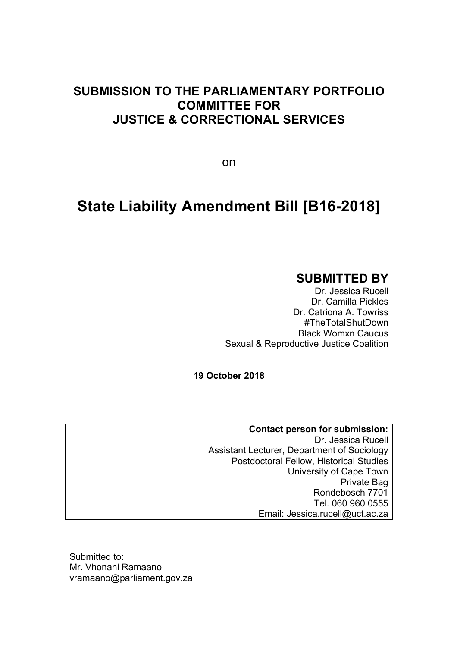# **SUBMISSION TO THE PARLIAMENTARY PORTFOLIO COMMITTEE FOR JUSTICE & CORRECTIONAL SERVICES**

on

# **State Liability Amendment Bill [B16-2018]**

## **SUBMITTED BY**

Dr. Jessica Rucell Dr. Camilla Pickles Dr. Catriona A. Towriss #TheTotalShutDown Black Womxn Caucus Sexual & Reproductive Justice Coalition

**19 October 2018**

**Contact person for submission:**  Dr. Jessica Rucell Assistant Lecturer, Department of Sociology Postdoctoral Fellow, Historical Studies University of Cape Town Private Bag Rondebosch 7701 Tel. 060 960 0555 Email: Jessica.rucell@uct.ac.za

Submitted to: Mr. Vhonani Ramaano vramaano@parliament.gov.za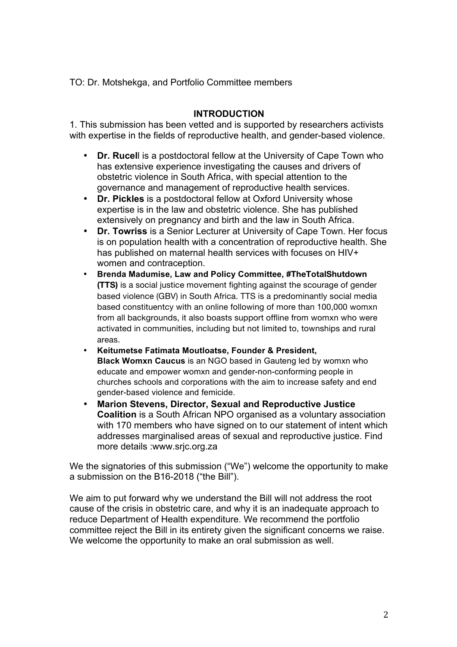TO: Dr. Motshekga, and Portfolio Committee members

### **INTRODUCTION**

1. This submission has been vetted and is supported by researchers activists with expertise in the fields of reproductive health, and gender-based violence.

- **Dr. Rucel**l is a postdoctoral fellow at the University of Cape Town who has extensive experience investigating the causes and drivers of obstetric violence in South Africa, with special attention to the governance and management of reproductive health services.
- **Dr. Pickles** is a postdoctoral fellow at Oxford University whose expertise is in the law and obstetric violence. She has published extensively on pregnancy and birth and the law in South Africa.
- **Dr. Towriss** is a Senior Lecturer at University of Cape Town. Her focus is on population health with a concentration of reproductive health. She has published on maternal health services with focuses on HIV+ women and contraception.
- **Brenda Madumise, Law and Policy Committee, #TheTotalShutdown (TTS)** is a social justice movement fighting against the scourage of gender based violence (GBV) in South Africa. TTS is a predominantly social media based constituentcy with an online following of more than 100,000 womxn from all backgrounds, it also boasts support offline from womxn who were activated in communities, including but not limited to, townships and rural areas.
- **Keitumetse Fatimata Moutloatse, Founder & President, Black Womxn Caucus** is an NGO based in Gauteng led by womxn who educate and empower womxn and gender-non-conforming people in churches schools and corporations with the aim to increase safety and end gender-based violence and femicide.
- **Marion Stevens, Director, Sexual and Reproductive Justice Coalition** is a South African NPO organised as a voluntary association with 170 members who have signed on to our statement of intent which addresses marginalised areas of sexual and reproductive justice. Find more details :www.srjc.org.za

We the signatories of this submission ("We") welcome the opportunity to make a submission on the B16-2018 ("the Bill").

We aim to put forward why we understand the Bill will not address the root cause of the crisis in obstetric care, and why it is an inadequate approach to reduce Department of Health expenditure. We recommend the portfolio committee reject the Bill in its entirety given the significant concerns we raise. We welcome the opportunity to make an oral submission as well.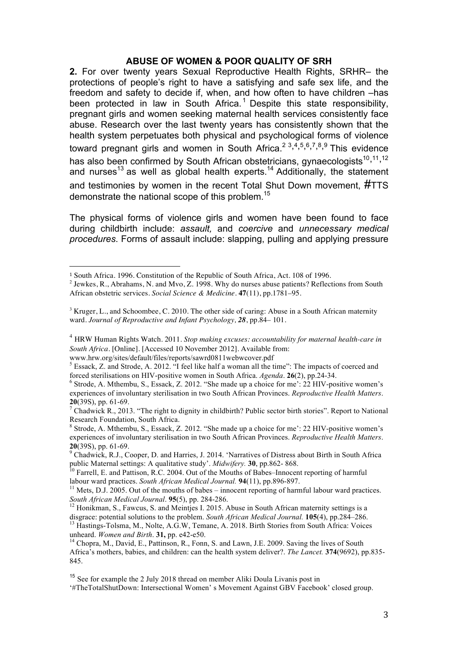### **ABUSE OF WOMEN & POOR QUALITY OF SRH**

**2.** For over twenty years Sexual Reproductive Health Rights, SRHR– the protections of people's right to have a satisfying and safe sex life, and the freedom and safety to decide if, when, and how often to have children –has been protected in law in South Africa.<sup>1</sup> Despite this state responsibility, pregnant girls and women seeking maternal health services consistently face abuse. Research over the last twenty years has consistently shown that the health system perpetuates both physical and psychological forms of violence toward pregnant girls and women in South Africa.<sup>23,4,5,6,7,8,9</sup> This evidence has also been confirmed by South African obstetricians, gynaecologists<sup>10,11,12</sup> and nurses<sup>13</sup> as well as global health experts.<sup>14</sup> Additionally, the statement and testimonies by women in the recent Total Shut Down movement, #TTS demonstrate the national scope of this problem.<sup>15</sup>

The physical forms of violence girls and women have been found to face during childbirth include: *assault,* and *coercive* and *unnecessary medical procedures*. Forms of assault include: slapping, pulling and applying pressure

 

<sup>1</sup> South Africa. 1996*.* Constitution of the Republic of South Africa, Act. 108 of 1996.

<sup>&</sup>lt;sup>2</sup> Jewkes, R., Abrahams, N. and Myo, Z. 1998. Why do nurses abuse patients? Reflections from South African obstetric services. *Social Science & Medicine.* **47**(11), pp.1781–95.

<sup>&</sup>lt;sup>3</sup> Kruger, L., and Schoombee, C. 2010. The other side of caring: Abuse in a South African maternity ward. *Journal of Reproductive and Infant Psychology, 28*, pp.84– 101.

<sup>4</sup> HRW Human Rights Watch. 2011. *Stop making excuses: accountability for maternal health-care in South Africa.* [Online]. [Accessed 10 November 2012]. Available from:

www.hrw.org/sites/default/files/reports/sawrd0811webwcover.pdf

<sup>&</sup>lt;sup>5</sup> Essack, Z. and Strode, A. 2012. "I feel like half a woman all the time": The impacts of coerced and forced sterilisations on HIV-positive women in South Africa. Agenda. **26**(2), pp.24-34.

<sup>&</sup>lt;sup>6</sup> Strode, A. Mthembu, S., Essack, Z. 2012. "She made up a choice for me': 22 HIV-positive women's experiences of involuntary sterilisation in two South African Provinces. *Reproductive Health Matters*. **20**(39S), pp. 61-69.<br><sup>7</sup> Chadwick R., 2013. "The right to dignity in childbirth? Public sector birth stories". Report to National

Research Foundation, South Africa.

<sup>8</sup> Strode, A. Mthembu, S., Essack, Z. 2012. "She made up a choice for me': 22 HIV-positive women's experiences of involuntary sterilisation in two South African Provinces. *Reproductive Health Matters*.

**<sup>20</sup>**(39S), pp. 61-69.<br><sup>9</sup> Chadwick, R.J., Cooper, D. and Harries, J. 2014. 'Narratives of Distress about Birth in South Africa public Maternal settings: A qualitative study'. *Midwifery*. **30**, pp.862-868.

<sup>&</sup>lt;sup>10</sup> Farrell, E. and Pattison, R.C. 2004. Out of the Mouths of Babes–Innocent reporting of harmful labour ward practices. *South African Medical Journal.* **94**(11), pp.896-897.<br><sup>11</sup> Mets, D.J. 2005. Out of the mouths of babes – innocent reporting of harmful labour ward practices.

*South African Medical Journal.* **95**(5), pp. 284-286.<br><sup>12</sup> Honikman, S., Fawcus, S. and Meintjes I. 2015. Abuse in South African maternity settings is a disgrace: potential solutions to the problem. *South African Medical* 

<sup>&</sup>lt;sup>13</sup> Hastings-Tolsma, M., Nolte, A.G.W, Temane, A. 2018. Birth Stories from South Africa: Voices unheard. *Women and Birth*. **31**, pp. e42-e50.

<sup>&</sup>lt;sup>14</sup> Chopra, M., David, E., Pattinson, R., Fonn, S. and Lawn, J.E. 2009. Saving the lives of South Africa's mothers, babies, and children: can the health system deliver?. *The Lancet.* **374**(9692), pp.835- 845.

<sup>&</sup>lt;sup>15</sup> See for example the 2 July 2018 thread on member Aliki Doula Livanis post in '#TheTotalShutDown: Intersectional Women' s Movement Against GBV Facebook' closed group.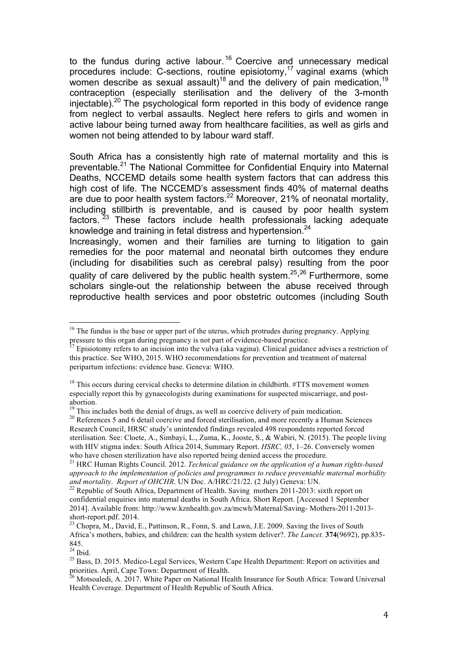to the fundus during active labour.<sup>16</sup> Coercive and unnecessary medical procedures include: C-sections, routine episiotomy,<sup>17</sup> vaginal exams (which women describe as sexual assault)<sup>18</sup> and the delivery of pain medication,<sup>19</sup> contraception (especially sterilisation and the delivery of the 3-month injectable).<sup>20</sup> The psychological form reported in this body of evidence range from neglect to verbal assaults. Neglect here refers to girls and women in active labour being turned away from healthcare facilities, as well as girls and women not being attended to by labour ward staff.

South Africa has a consistently high rate of maternal mortality and this is preventable.<sup>21</sup> The National Committee for Confidential Enquiry into Maternal Deaths, NCCEMD details some health system factors that can address this high cost of life. The NCCEMD's assessment finds 40% of maternal deaths are due to poor health system factors.<sup>22</sup> Moreover, 21% of neonatal mortality, including stillbirth is preventable, and is caused by poor health system factors.<sup>23</sup> These factors include health professionals lacking adequate knowledge and training in fetal distress and hypertension.<sup>24</sup>

Increasingly, women and their families are turning to litigation to gain remedies for the poor maternal and neonatal birth outcomes they endure (including for disabilities such as cerebral palsy) resulting from the poor quality of care delivered by the public health system.<sup>25,26</sup> Furthermore, some scholars single-out the relationship between the abuse received through reproductive health services and poor obstetric outcomes (including South

 $16$  The fundus is the base or upper part of the uterus, which protrudes during pregnancy. Applying pressure to this organ during pregnancy is not part of evidence-based practice.<br><sup>17</sup> Episiotomy refers to an incision into the vulva (aka vagina). Clinical guidance advises a restriction of

this practice. See WHO, 2015. WHO recommendations for prevention and treatment of maternal peripartum infections: evidence base. Geneva: WHO.

 $18$  This occurs during cervical checks to determine dilation in childbirth.  $\#\text{TTS}$  movement women especially report this by gynaecologists during examinations for suspected miscarriage, and postabortion.<br><sup>19</sup> This includes both the denial of drugs, as well as coercive delivery of pain medication.

<sup>&</sup>lt;sup>20</sup> References 5 and 6 detail coercive and forced sterilisation, and more recently a Human Sciences Research Council, HRSC study's unintended findings revealed 498 respondents reported forced sterilisation. See: Cloete, A., Simbayi, L., Zuma, K., Jooste, S., & Wabiri, N. (2015). The people living with HIV stigma index: South Africa 2014, Summary Report. *HSRC, 05*, 1–26. Conversely women who have chosen sterilization have also reported being denied access the procedure.

<sup>&</sup>lt;sup>21</sup> HRC Human Rights Council. 2012. *Technical guidance on the application of a human rights-based approach to the implementation of policies and programmes to reduce preventable maternal morbidity and mortality. Report of OHCHR.* UN Doc. A/HRC/21/22. (2 July) Geneva: UN.<br><sup>22</sup> Republic of South Africa, Department of Health. Saving mothers 2011-2013: sixth report on

confidential enquiries into maternal deaths in South Africa. Short Report. [Accessed 1 September 2014]. Available from: http://www.kznhealth.gov.za/mcwh/Maternal/Saving- Mothers-2011-2013 short-report.pdf. 2014.<br><sup>23</sup> Chopra, M., David, E., Pattinson, R., Fonn, S. and Lawn, J.E. 2009. Saving the lives of South

Africa's mothers, babies, and children: can the health system deliver?. *The Lancet.* **374**(9692), pp.835-  $845.$ <sup>24</sup> Ibid.

<sup>&</sup>lt;sup>25</sup> Bass, D. 2015. Medico-Legal Services, Western Cape Health Department: Report on activities and priorities. April, Cape Town: Department of Health.

<sup>&</sup>lt;sup>26</sup> Motsoaledi, A. 2017. White Paper on National Health Insurance for South Africa: Toward Universal Health Coverage. Department of Health Republic of South Africa.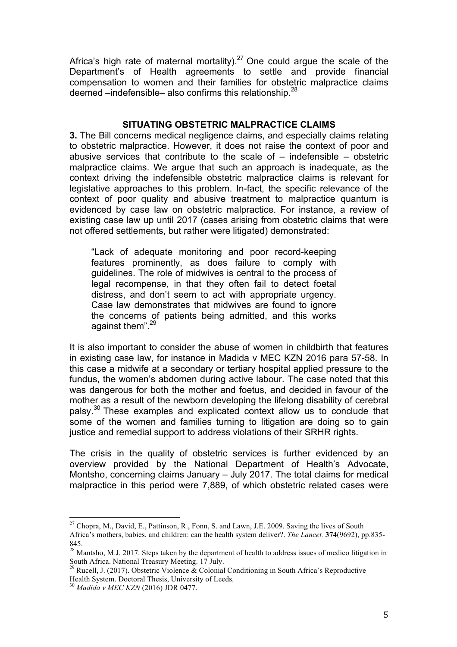Africa's high rate of maternal mortality).<sup>27</sup> One could argue the scale of the Department's of Health agreements to settle and provide financial compensation to women and their families for obstetric malpractice claims deemed  $-$ indefensible– also confirms this relationship.<sup>28</sup>

### **SITUATING OBSTETRIC MALPRACTICE CLAIMS**

**3.** The Bill concerns medical negligence claims, and especially claims relating to obstetric malpractice. However, it does not raise the context of poor and abusive services that contribute to the scale of  $-$  indefensible  $-$  obstetric malpractice claims. We argue that such an approach is inadequate, as the context driving the indefensible obstetric malpractice claims is relevant for legislative approaches to this problem. In-fact, the specific relevance of the context of poor quality and abusive treatment to malpractice quantum is evidenced by case law on obstetric malpractice. For instance, a review of existing case law up until 2017 (cases arising from obstetric claims that were not offered settlements, but rather were litigated) demonstrated:

"Lack of adequate monitoring and poor record-keeping features prominently, as does failure to comply with guidelines. The role of midwives is central to the process of legal recompense, in that they often fail to detect foetal distress, and don't seem to act with appropriate urgency. Case law demonstrates that midwives are found to ignore the concerns of patients being admitted, and this works against them".<sup>29</sup>

It is also important to consider the abuse of women in childbirth that features in existing case law, for instance in Madida v MEC KZN 2016 para 57-58. In this case a midwife at a secondary or tertiary hospital applied pressure to the fundus, the women's abdomen during active labour. The case noted that this was dangerous for both the mother and foetus, and decided in favour of the mother as a result of the newborn developing the lifelong disability of cerebral palsy.<sup>30</sup> These examples and explicated context allow us to conclude that some of the women and families turning to litigation are doing so to gain justice and remedial support to address violations of their SRHR rights.

The crisis in the quality of obstetric services is further evidenced by an overview provided by the National Department of Health's Advocate, Montsho, concerning claims January – July 2017. The total claims for medical malpractice in this period were 7,889, of which obstetric related cases were

<sup>&</sup>lt;sup>27</sup> Chopra, M., David, E., Pattinson, R., Fonn, S. and Lawn, J.E. 2009. Saving the lives of South Africa's mothers, babies, and children: can the health system deliver?. *The Lancet.* **374**(9692), pp.835- 845.

 $^{28}$  Mantsho, M.J. 2017. Steps taken by the department of health to address issues of medico litigation in South Africa. National Treasury Meeting. 17 July.

<sup>&</sup>lt;sup>9</sup> Rucell, J. (2017). Obstetric Violence & Colonial Conditioning in South Africa's Reproductive Health System. Doctoral Thesis, University of Leeds.

<sup>30</sup> *Madida v MEC KZN* (2016) JDR 0477.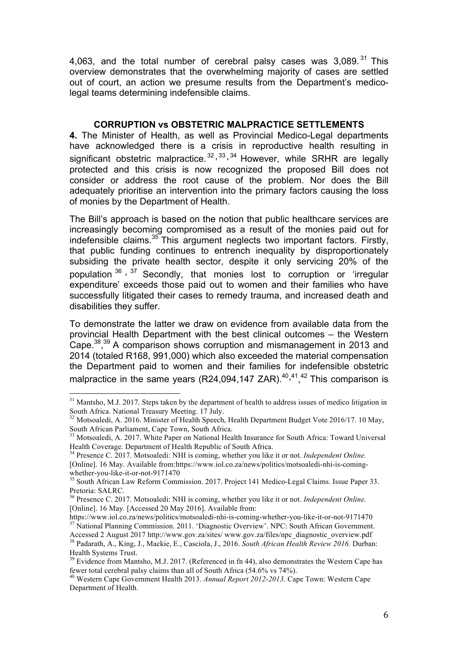4,063, and the total number of cerebral palsy cases was  $3,089$ .<sup>31</sup> This overview demonstrates that the overwhelming majority of cases are settled out of court, an action we presume results from the Department's medicolegal teams determining indefensible claims.

### **CORRUPTION vs OBSTETRIC MALPRACTICE SETTLEMENTS**

**4.** The Minister of Health, as well as Provincial Medico-Legal departments have acknowledged there is a crisis in reproductive health resulting in significant obstetric malpractice.<sup>32, 33, 34</sup> However, while SRHR are legally protected and this crisis is now recognized the proposed Bill does not consider or address the root cause of the problem. Nor does the Bill adequately prioritise an intervention into the primary factors causing the loss of monies by the Department of Health.

The Bill's approach is based on the notion that public healthcare services are increasingly becoming compromised as a result of the monies paid out for indefensible claims.<sup>35</sup> This argument neglects two important factors. Firstly, that public funding continues to entrench inequality by disproportionately subsiding the private health sector, despite it only servicing 20% of the population  $36$ ,  $37$  Secondly, that monies lost to corruption or 'irregular expenditure' exceeds those paid out to women and their families who have successfully litigated their cases to remedy trauma, and increased death and disabilities they suffer.

To demonstrate the latter we draw on evidence from available data from the provincial Health Department with the best clinical outcomes – the Western Cape.<sup>38, 39</sup> A comparison shows corruption and mismanagement in 2013 and 2014 (totaled R168, 991,000) which also exceeded the material compensation the Department paid to women and their families for indefensible obstetric malpractice in the same years (R24,094,147 ZAR). $^{40,41,42}$  This comparison is

 $31$  Mantsho, M.J. 2017. Steps taken by the department of health to address issues of medico litigation in South Africa. National Treasury Meeting. 17 July.

<sup>&</sup>lt;sup>32</sup> Motsoaledi, A. 2016. Minister of Health Speech, Health Department Budget Vote 2016/17. 10 May, South African Parliament, Cape Town, South Africa.

<sup>&</sup>lt;sup>33</sup> Motsoaledi, A. 2017. White Paper on National Health Insurance for South Africa: Toward Universal Health Coverage. Department of Health Republic of South Africa.

<sup>34</sup> Presence C. 2017. Motsoaledi: NHI is coming, whether you like it or not. *Independent Online.*  [Online]. 16 May. Available from:https://www.iol.co.za/news/politics/motsoaledi-nhi-is-comingwhether-you-like-it-or-not-9171470<br><sup>35</sup> South African Law Reform Commission. 2017. Project 141 Medico-Legal Claims. Issue Paper 33.

Pretoria: SALRC.

<sup>36</sup> Presence C. 2017. Motsoaledi: NHI is coming, whether you like it or not. *Independent Online.*  [Online]. 16 May. [Accessed 20 May 2016]. Available from:<br>https://www.iol.co.za/news/politics/motsoaledi-nhi-is-coming-whether-you-like-it-or-not-9171470

<sup>&</sup>lt;sup>37</sup> National Planning Commission. 2011. 'Diagnostic Overview'. NPC: South African Government.

Accessed 2 August 2017 http://www.gov.za/sites/ www.gov.za/files/npc\_diagnostic\_overview.pdf <sup>38</sup> Padarath, A., King, J., Mackie, E., Casciola, J., 2016. *South African Health Review 2016.* Durban: Health Systems Trust.<br><sup>39</sup> Evidence from Mantsho, M.J. 2017. (Referenced in fn 44), also demonstrates the Western Cape has

fewer total cerebral palsy claims than all of South Africa (54.6% vs 74%).

<sup>40</sup> Western Cape Government Health 2013. *Annual Report 2012-2013*. Cape Town: Western Cape Department of Health.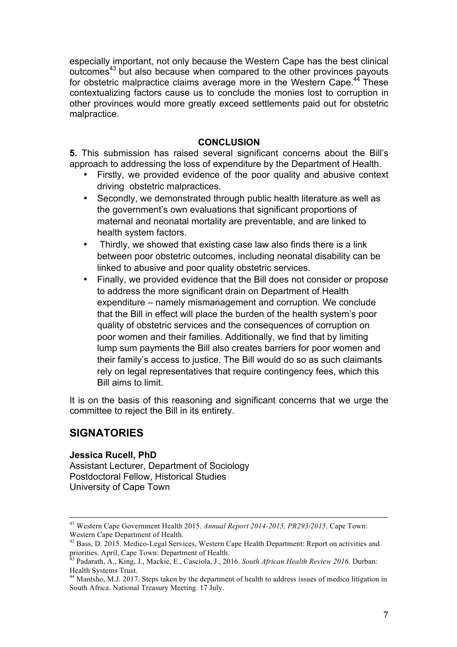especially important, not only because the Western Cape has the best clinical outcomes<sup>43</sup> but also because when compared to the other provinces payouts for obstetric malpractice claims average more in the Western Cape.<sup>44</sup> These contextualizing factors cause us to conclude the monies lost to corruption in other provinces would more greatly exceed settlements paid out for obstetric malpractice.

### **CONCLUSION**

**5.** This submission has raised several significant concerns about the Bill's approach to addressing the loss of expenditure by the Department of Health.

- Firstly, we provided evidence of the poor quality and abusive context driving obstetric malpractices.
- Secondly, we demonstrated through public health literature as well as the government's own evaluations that significant proportions of maternal and neonatal mortality are preventable, and are linked to health system factors.
- Thirdly, we showed that existing case law also finds there is a link between poor obstetric outcomes, including neonatal disability can be linked to abusive and poor quality obstetric services.
- Finally, we provided evidence that the Bill does not consider or propose to address the more significant drain on Department of Health expenditure – namely mismanagement and corruption. We conclude that the Bill in effect will place the burden of the health system's poor quality of obstetric services and the consequences of corruption on poor women and their families. Additionally, we find that by limiting lump sum payments the Bill also creates barriers for poor women and their family's access to justice. The Bill would do so as such claimants rely on legal representatives that require contingency fees, which this Bill aims to limit.

It is on the basis of this reasoning and significant concerns that we urge the committee to reject the Bill in its entirety.

### **SIGNATORIES**

### **Jessica Rucell, PhD**

Assistant Lecturer, Department of Sociology Postdoctoral Fellow, Historical Studies University of Cape Town

 <sup>41</sup> Western Cape Government Health 2015. *Annual Report 2014-2015, PR293/2015*. Cape Town: Western Cape Department of Health.

<sup>42</sup> Bass, D. 2015. Medico-Legal Services, Western Cape Health Department: Report on activities and priorities. April, Cape Town: Department of Health.

<sup>43</sup> Padarath, A., King, J., Mackie, E., Casciola, J., 2016. *South African Health Review 2016.* Durban: Health Systems Trust.

<sup>&</sup>lt;sup>44</sup> Mantsho, M.J. 2017. Steps taken by the department of health to address issues of medico litigation in South Africa. National Treasury Meeting. 17 July.